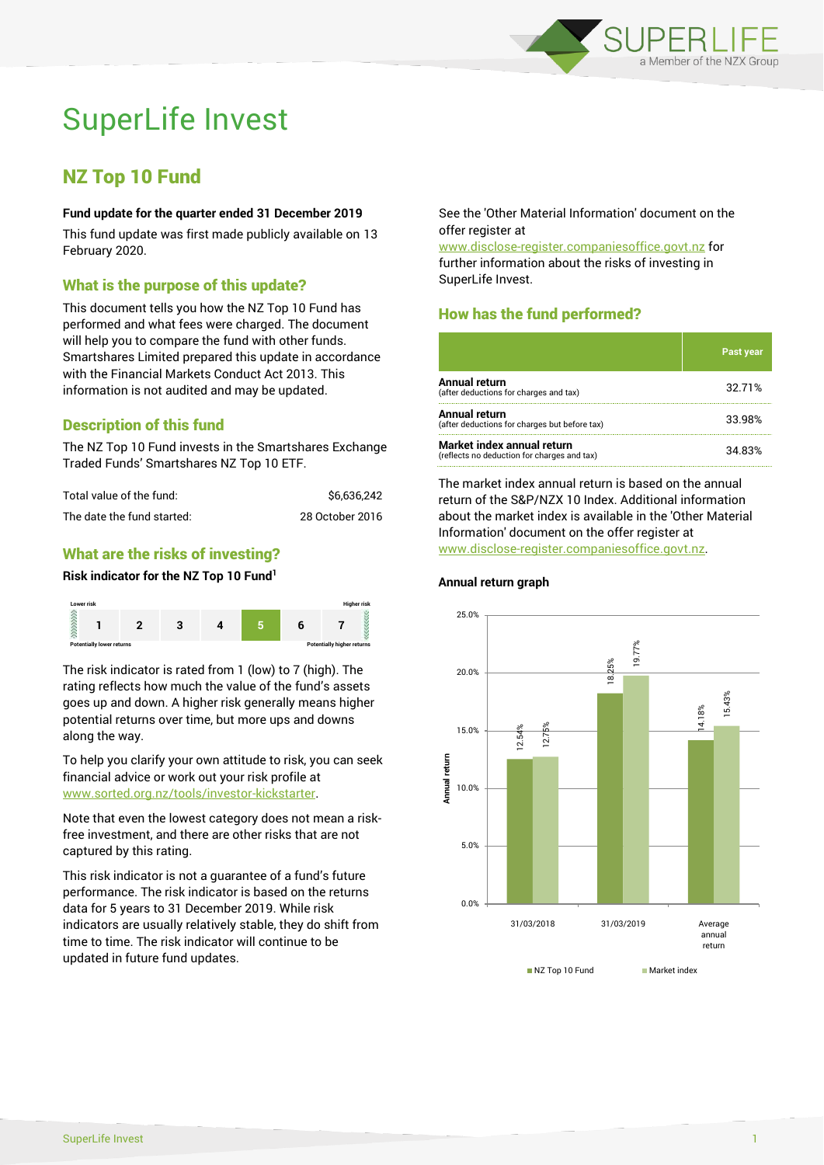

# SuperLife Invest

# NZ Top 10 Fund

#### **Fund update for the quarter ended 31 December 2019**

This fund update was first made publicly available on 13 February 2020.

# What is the purpose of this update?

This document tells you how the NZ Top 10 Fund has performed and what fees were charged. The document will help you to compare the fund with other funds. Smartshares Limited prepared this update in accordance with the Financial Markets Conduct Act 2013. This information is not audited and may be updated.

# Description of this fund

The NZ Top 10 Fund invests in the Smartshares Exchange Traded Funds' Smartshares NZ Top 10 ETF.

| Total value of the fund:   | \$6.636.242     |  |
|----------------------------|-----------------|--|
| The date the fund started: | 28 October 2016 |  |

# What are the risks of investing?

#### **Risk indicator for the NZ Top 10 Fund<sup>1</sup>**



The risk indicator is rated from 1 (low) to 7 (high). The rating reflects how much the value of the fund's assets goes up and down. A higher risk generally means higher potential returns over time, but more ups and downs along the way.

To help you clarify your own attitude to risk, you can seek financial advice or work out your risk profile at [www.sorted.org.nz/tools/investor-kickstarter.](http://www.sorted.org.nz/tools/investor-kickstarter)

Note that even the lowest category does not mean a riskfree investment, and there are other risks that are not captured by this rating.

This risk indicator is not a guarantee of a fund's future performance. The risk indicator is based on the returns data for 5 years to 31 December 2019. While risk indicators are usually relatively stable, they do shift from time to time. The risk indicator will continue to be updated in future fund updates.

See the 'Other Material Information' document on the offer register at

www.disclose-register.companiesoffice.govt.nz for further information about the risks of investing in SuperLife Invest.

# How has the fund performed?

|                                                                           | <b>Past year</b> |
|---------------------------------------------------------------------------|------------------|
| Annual return<br>(after deductions for charges and tax)                   | 32.71%           |
| Annual return<br>(after deductions for charges but before tax)            | 33.98%           |
| Market index annual return<br>(reflects no deduction for charges and tax) | 34.83%           |

The market index annual return is based on the annual return of the S&P/NZX 10 Index. Additional information about the market index is available in the 'Other Material Information' document on the offer register at www.disclose-register.companiesoffice.govt.nz.

#### **Annual return graph**

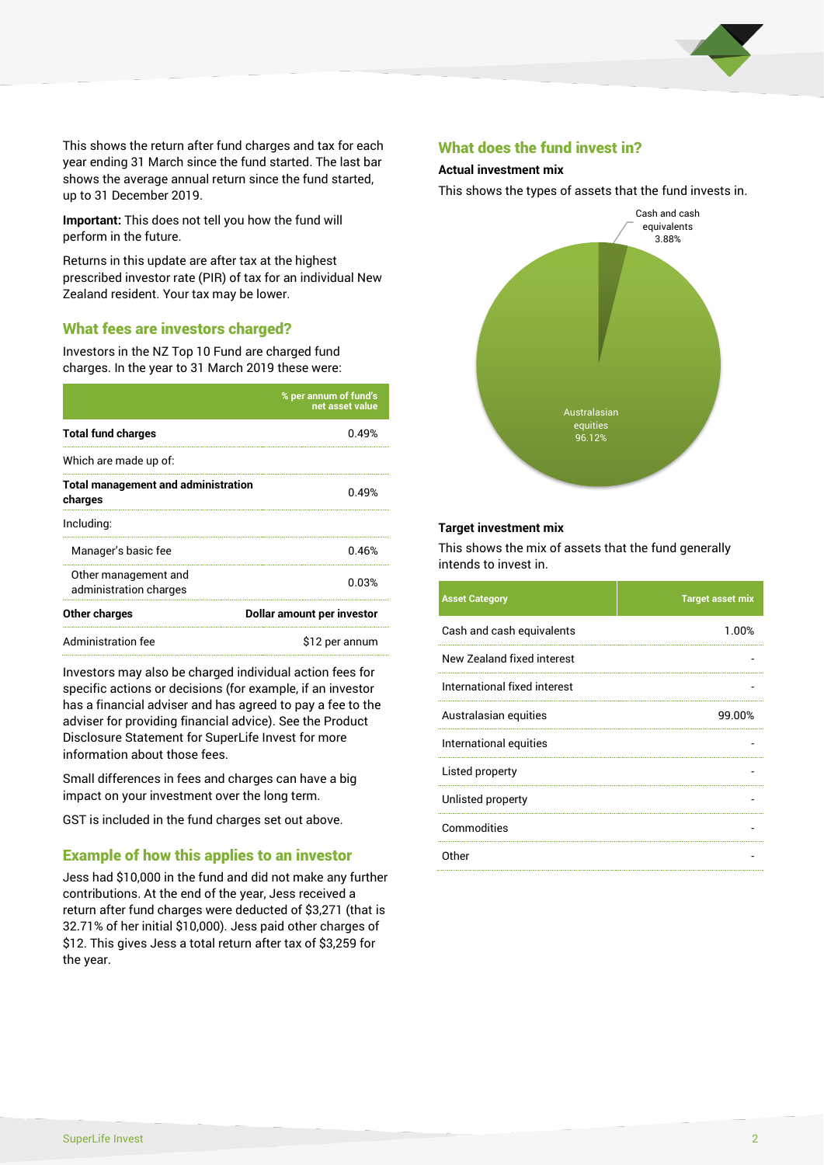

This shows the return after fund charges and tax for each year ending 31 March since the fund started. The last bar shows the average annual return since the fund started, up to 31 December 2019.

**Important:** This does not tell you how the fund will perform in the future.

Returns in this update are after tax at the highest prescribed investor rate (PIR) of tax for an individual New Zealand resident. Your tax may be lower.

#### What fees are investors charged?

Investors in the NZ Top 10 Fund are charged fund charges. In the year to 31 March 2019 these were:

|                                                       | % per annum of fund's<br>net asset value |  |
|-------------------------------------------------------|------------------------------------------|--|
| <b>Total fund charges</b>                             | በ 49%                                    |  |
| Which are made up of:                                 |                                          |  |
| <b>Total management and administration</b><br>charges | 0.49%                                    |  |
| Including:                                            |                                          |  |
| Manager's basic fee                                   | 0.46%                                    |  |
| Other management and<br>administration charges        | 0.03%                                    |  |
| Other charges                                         | Dollar amount per investor               |  |
| Administration fee                                    | \$12 per annum                           |  |

Investors may also be charged individual action fees for specific actions or decisions (for example, if an investor has a financial adviser and has agreed to pay a fee to the adviser for providing financial advice). See the Product Disclosure Statement for SuperLife Invest for more information about those fees.

Small differences in fees and charges can have a big impact on your investment over the long term.

GST is included in the fund charges set out above.

#### Example of how this applies to an investor

Jess had \$10,000 in the fund and did not make any further contributions. At the end of the year, Jess received a return after fund charges were deducted of \$3,271 (that is 32.71% of her initial \$10,000). Jess paid other charges of \$12. This gives Jess a total return after tax of \$3,259 for the year.

#### What does the fund invest in?

#### **Actual investment mix**

This shows the types of assets that the fund invests in.



#### **Target investment mix**

This shows the mix of assets that the fund generally intends to invest in.

| <b>Asset Category</b>        | <b>Target asset mix</b> |
|------------------------------|-------------------------|
| Cash and cash equivalents    | 1.00%                   |
| New Zealand fixed interest   |                         |
| International fixed interest |                         |
| Australasian equities        | 99.00%                  |
| International equities       |                         |
| Listed property              |                         |
| Unlisted property            |                         |
| Commodities                  |                         |
| Other                        |                         |